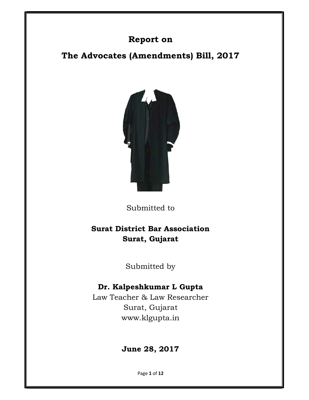# Report on

The Advocates (Amendments) Bill, 2017



Submitted to

# Surat District Bar Association Surat, Gujarat

Submitted by

## Dr. Kalpeshkumar L Gupta

Law Teacher & Law Researcher Surat, Gujarat www.klgupta.in

# June 28, 2017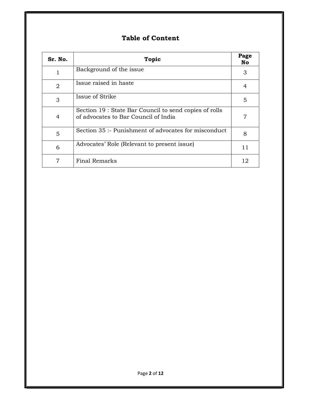## Table of Content

| Sr. No.        | <b>Topic</b>                                                                                   | Page<br>No |
|----------------|------------------------------------------------------------------------------------------------|------------|
|                | Background of the issue                                                                        | 3          |
| $\overline{2}$ | Issue raised in haste                                                                          | 4          |
| 3              | Issue of Strike                                                                                | 5          |
| 4              | Section 19 : State Bar Council to send copies of rolls<br>of advocates to Bar Council of India | 7          |
| 5              | Section 35 :- Punishment of advocates for misconduct                                           | 8          |
| 6              | Advocates' Role (Relevant to present issue)                                                    | 11         |
| 7              | Final Remarks                                                                                  | 12         |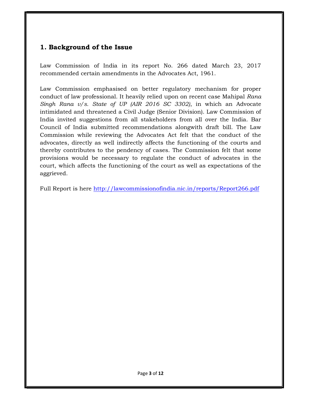### 1. Background of the Issue

Law Commission of India in its report No. 266 dated March 23, 2017 recommended certain amendments in the Advocates Act, 1961.

Law Commission emphasised on better regulatory mechanism for proper conduct of law professional. It heavily relied upon on recent case Mahipal Rana Singh Rana  $v/s$ . State of UP (AIR 2016 SC 3302), in which an Advocate intimidated and threatened a Civil Judge (Senior Division). Law Commission of India invited suggestions from all stakeholders from all over the India. Bar Council of India submitted recommendations alongwith draft bill. The Law Commission while reviewing the Advocates Act felt that the conduct of the advocates, directly as well indirectly affects the functioning of the courts and thereby contributes to the pendency of cases. The Commission felt that some provisions would be necessary to regulate the conduct of advocates in the court, which affects the functioning of the court as well as expectations of the aggrieved.

Full Report is here http://lawcommissionofindia.nic.in/reports/Report266.pdf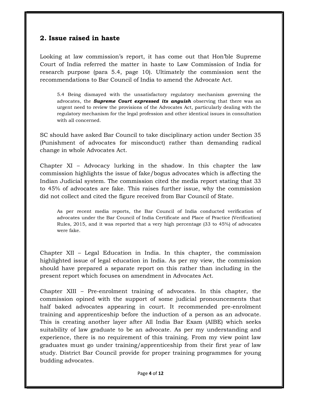### 2. Issue raised in haste

Looking at law commission's report, it has come out that Hon'ble Supreme Court of India referred the matter in haste to Law Commission of India for research purpose (para 5.4, page 10). Ultimately the commission sent the recommendations to Bar Council of India to amend the Advocate Act.

5.4 Being dismayed with the unsatisfactory regulatory mechanism governing the advocates, the **Supreme Court expressed its anguish** observing that there was an urgent need to review the provisions of the Advocates Act, particularly dealing with the regulatory mechanism for the legal profession and other identical issues in consultation with all concerned.

SC should have asked Bar Council to take disciplinary action under Section 35 (Punishment of advocates for misconduct) rather than demanding radical change in whole Advocates Act.

Chapter XI – Advocacy lurking in the shadow. In this chapter the law commission highlights the issue of fake/bogus advocates which is affecting the Indian Judicial system. The commission cited the media report stating that 33 to 45% of advocates are fake. This raises further issue, why the commission did not collect and cited the figure received from Bar Council of State.

As per recent media reports, the Bar Council of India conducted verification of advocates under the Bar Council of India Certificate and Place of Practice (Verification) Rules, 2015, and it was reported that a very high percentage (33 to 45%) of advocates were fake.

Chapter XII – Legal Education in India. In this chapter, the commission highlighted issue of legal education in India. As per my view, the commission should have prepared a separate report on this rather than including in the present report which focuses on amendment in Advocates Act.

Chapter XIII – Pre-enrolment training of advocates. In this chapter, the commission opined with the support of some judicial pronouncements that half baked advocates appearing in court. It recommended pre-enrolment training and apprenticeship before the induction of a person as an advocate. This is creating another layer after All India Bar Exam (AIBE) which seeks suitability of law graduate to be an advocate. As per my understanding and experience, there is no requirement of this training. From my view point law graduates must go under training/apprenticeship from their first year of law study. District Bar Council provide for proper training programmes for young budding advocates.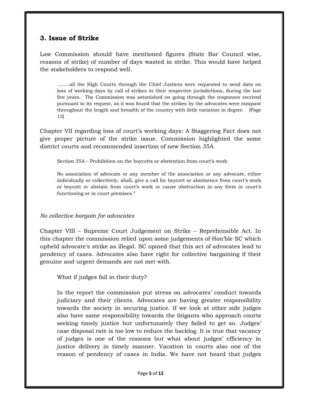### 3. Issue of Strike

Law Commission should have mentioned figures (State Bar Council wise, reasons of strike) of number of days wasted in strike. This would have helped the stakeholders to respond well.

……..all the High Courts through the Chief Justices were requested to send data on loss of working days by call of strikes in their respective jurisdictions, during the last five years. The Commission was astonished on going through the responses received pursuant to its request, as it was found that the strikes by the advocates were rampant throughout the length and breadth of the country with little variation in degree. (Page 12)

Chapter VII regarding loss of court's working days: A Staggering Fact does not give proper picture of the strike issue. Commission highlighted the some district courts and recommended insertion of new Section 35A

Section 35A – Prohibition on the boycotts or abstention from court's work

No association of advocate or any member of the association or any advocate, either individually or collectively, shall, give a call for boycott or abstinence from court's work or boycott or abstain from court's work or cause obstruction in any form in court's functioning or in court premises."

### No collective bargain for advocates

Chapter VIII – Supreme Court Judgement on Strike – Reprehensible Act. In this chapter the commission relied upon some judgements of Hon'ble SC which upheld advocate's strike as illegal. SC opined that this act of advocates lead to pendency of cases. Advocates also have right for collective bargaining if their genuine and urgent demands are not met with.

What if judges fail in their duty?

In the report the commission put stress on advocates' conduct towards judiciary and their clients. Advocates are having greater responsibility towards the society in securing justice. If we look at other side judges also have same responsibility towards the litigants who approach courts seeking timely justice but unfortunately they failed to get so. Judges' case disposal rate is too low to reduce the backlog. It is true that vacancy of judges is one of the reasons but what about judges' efficiency in justice delivery in timely manner. Vacation in courts also one of the reason of pendency of cases in India. We have not heard that judges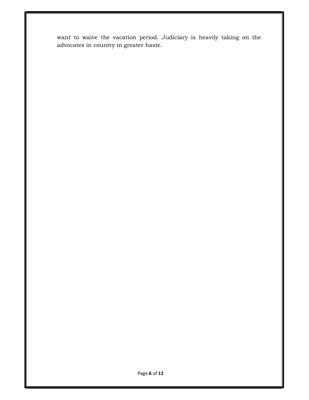want to waive the vacation period. Judiciary is heavily taking on the advocates in country in greater haste.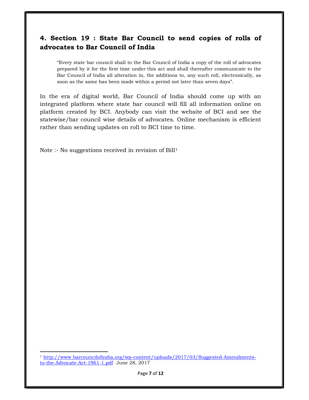### 4. Section 19 : State Bar Council to send copies of rolls of advocates to Bar Council of India

"Every state bar council shall to the Bar Council of India a copy of the roll of advocates prepared by it for the first time under this act and shall thereafter communicate to the Bar Council of India all alteration in, the additions to, any such roll, electronically, as soon as the same has been made within a period not later than seven days".

In the era of digital world, Bar Council of India should come up with an integrated platform where state bar council will fill all information online on platform created by BCI. Anybody can visit the website of BCI and see the statewise/bar council wise details of advocates. Online mechanism is efficient rather than sending updates on roll to BCI time to time.

Note :- No suggestions received in revision of Bill<sup>1</sup>

 $\overline{a}$ 

<sup>1</sup> http://www.barcouncilofindia.org/wp-content/uploads/2017/03/Suggested-Amendmentsto-the-Advocate-Act-1961-1.pdf June 28, 2017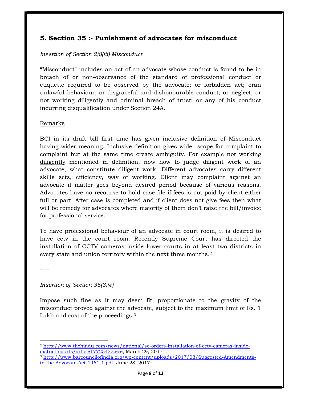### 5. Section 35 :- Punishment of advocates for misconduct

#### Insertion of Section 2(i)(iii) Misconduct

"Misconduct" includes an act of an advocate whose conduct is found to be in breach of or non-observance of the standard of professional conduct or etiquette required to be observed by the advocate; or forbidden act; oran unlawful behaviour; or disgraceful and dishonourable conduct; or neglect; or not working diligently and criminal breach of trust; or any of his conduct incurring disqualification under Section 24A.

#### Remarks

BCI in its draft bill first time has given inclusive definition of Misconduct having wider meaning. Inclusive definition gives wider scope for complaint to complaint but at the same time create ambiguity. For example not working diligently mentioned in definition, now how to judge diligent work of an advocate, what constitute diligent work. Different advocates carry different skills sets, efficiency, way of working. Client may complaint against an advocate if matter goes beyond desired period because of various reasons. Advocates have no recourse to hold case file if fees is not paid by client either full or part. After case is completed and if client does not give fees then what will be remedy for advocates where majority of them don't raise the bill/invoice for professional service.

To have professional behaviour of an advocate in court room, it is desired to have cctv in the court room. Recently Supreme Court has directed the installation of CCTV cameras inside lower courts in at least two districts in every state and union territory within the next three months.<sup>2</sup>

----

 $\overline{a}$ 

#### Insertion of Section 35(3)(e)

Impose such fine as it may deem fit, proportionate to the gravity of the misconduct proved against the advocate, subject to the maximum limit of Rs. 1 Lakh and cost of the proceedings.<sup>3</sup>

<sup>2</sup> http://www.thehindu.com/news/national/sc-orders-installation-of-cctv-cameras-insidedistrict-courts/article17725432.ece, March 29, 2017

<sup>3</sup> http://www.barcouncilofindia.org/wp-content/uploads/2017/03/Suggested-Amendmentsto-the-Advocate-Act-1961-1.pdf June 28, 2017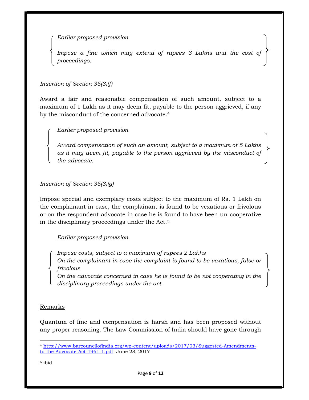Earlier proposed provision

Impose a fine which may extend of rupees 3 Lakhs and the cost of proceedings.

Insertion of Section 35(3)(f)

Award a fair and reasonable compensation of such amount, subject to a maximum of 1 Lakh as it may deem fit, payable to the person aggrieved, if any by the misconduct of the concerned advocate.<sup>4</sup>

Earlier proposed provision

Award compensation of such an amount, subject to a maximum of 5 Lakhs as it may deem fit, payable to the person aggrieved by the misconduct of the advocate.

Insertion of Section 35(3)(g)

Impose special and exemplary costs subject to the maximum of Rs. 1 Lakh on the complainant in case, the complainant is found to be vexatious or frivolous or on the respondent-advocate in case he is found to have been un-cooperative in the disciplinary proceedings under the Act.<sup>5</sup>

Earlier proposed provision

Impose costs, subject to a maximum of rupees 2 Lakhs On the complainant in case the complaint is found to be vexatious, false or frivolous

On the advocate concerned in case he is found to be not cooperating in the disciplinary proceedings under the act.

Remarks

Quantum of fine and compensation is harsh and has been proposed without any proper reasoning. The Law Commission of India should have gone through

5 ibid

 $\overline{a}$ 

<sup>4</sup> http://www.barcouncilofindia.org/wp-content/uploads/2017/03/Suggested-Amendmentsto-the-Advocate-Act-1961-1.pdf June 28, 2017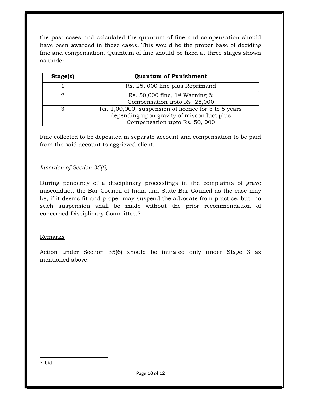the past cases and calculated the quantum of fine and compensation should have been awarded in those cases. This would be the proper base of deciding fine and compensation. Quantum of fine should be fixed at three stages shown as under

| Stage(s) | <b>Quantum of Punishment</b>                         |
|----------|------------------------------------------------------|
|          | Rs. 25, 000 fine plus Reprimand                      |
|          | Rs. 50,000 fine, $1st$ Warning &                     |
|          | Compensation upto Rs. 25,000                         |
|          | Rs. 1,00,000, suspension of licence for 3 to 5 years |
|          | depending upon gravity of misconduct plus            |
|          | Compensation upto Rs. 50, 000                        |

Fine collected to be deposited in separate account and compensation to be paid from the said account to aggrieved client.

### Insertion of Section 35(6)

During pendency of a disciplinary proceedings in the complaints of grave misconduct, the Bar Council of India and State Bar Council as the case may be, if it deems fit and proper may suspend the advocate from practice, but, no such suspension shall be made without the prior recommendation of concerned Disciplinary Committee.<sup>6</sup>

### Remarks

Action under Section 35(6) should be initiated only under Stage 3 as mentioned above.

l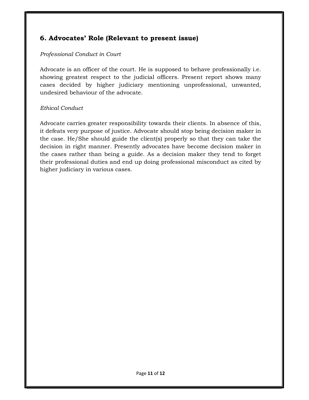### 6. Advocates' Role (Relevant to present issue)

### Professional Conduct in Court

Advocate is an officer of the court. He is supposed to behave professionally i.e. showing greatest respect to the judicial officers. Present report shows many cases decided by higher judiciary mentioning unprofessional, unwanted, undesired behaviour of the advocate.

### Ethical Conduct

Advocate carries greater responsibility towards their clients. In absence of this, it defeats very purpose of justice. Advocate should stop being decision maker in the case. He/She should guide the client(s) properly so that they can take the decision in right manner. Presently advocates have become decision maker in the cases rather than being a guide. As a decision maker they tend to forget their professional duties and end up doing professional misconduct as cited by higher judiciary in various cases.